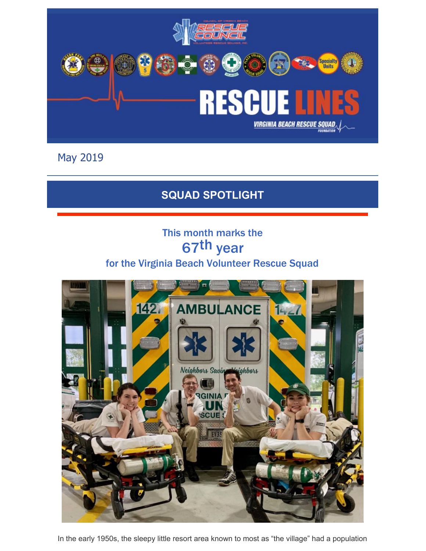

May 2019

### **SQUAD SPOTLIGHT**

## This month marks the 67th year for the Virginia Beach Volunteer Rescue Squad



In the early 1950s, the sleepy little resort area known to most as "the village" had a population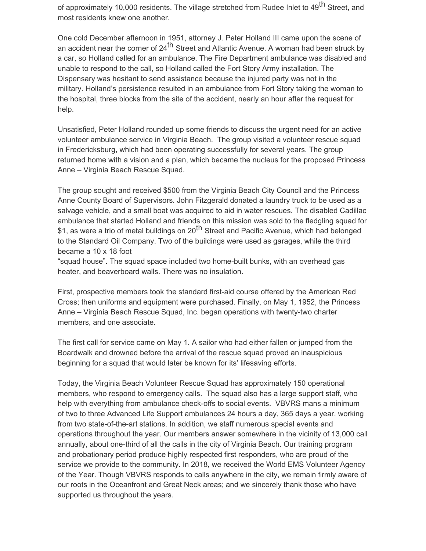of approximately 10,000 residents. The village stretched from Rudee Inlet to 49<sup>th</sup> Street, and most residents knew one another.

One cold December afternoon in 1951, attorney J. Peter Holland III came upon the scene of an accident near the corner of 24<sup>th</sup> Street and Atlantic Avenue. A woman had been struck by a car, so Holland called for an ambulance. The Fire Department ambulance was disabled and unable to respond to the call, so Holland called the Fort Story Army installation. The Dispensary was hesitant to send assistance because the injured party was not in the military. Holland's persistence resulted in an ambulance from Fort Story taking the woman to the hospital, three blocks from the site of the accident, nearly an hour after the request for help.

Unsatisfied, Peter Holland rounded up some friends to discuss the urgent need for an active volunteer ambulance service in Virginia Beach. The group visited a volunteer rescue squad in Fredericksburg, which had been operating successfully for several years. The group returned home with a vision and a plan, which became the nucleus for the proposed Princess Anne – Virginia Beach Rescue Squad.

The group sought and received \$500 from the Virginia Beach City Council and the Princess Anne County Board of Supervisors. John Fitzgerald donated a laundry truck to be used as a salvage vehicle, and a small boat was acquired to aid in water rescues. The disabled Cadillac ambulance that started Holland and friends on this mission was sold to the fledgling squad for \$1, as were a trio of metal buildings on 20<sup>th</sup> Street and Pacific Avenue, which had belonged to the Standard Oil Company. Two of the buildings were used as garages, while the third became a 10 x 18 foot

"squad house". The squad space included two home-built bunks, with an overhead gas heater, and beaverboard walls. There was no insulation.

First, prospective members took the standard first-aid course offered by the American Red Cross; then uniforms and equipment were purchased. Finally, on May 1, 1952, the Princess Anne – Virginia Beach Rescue Squad, Inc. began operations with twenty-two charter members, and one associate.

The first call for service came on May 1. A sailor who had either fallen or jumped from the Boardwalk and drowned before the arrival of the rescue squad proved an inauspicious beginning for a squad that would later be known for its' lifesaving efforts.

Today, the Virginia Beach Volunteer Rescue Squad has approximately 150 operational members, who respond to emergency calls. The squad also has a large support staff, who help with everything from ambulance check-offs to social events. VBVRS mans a minimum of two to three Advanced Life Support ambulances 24 hours a day, 365 days a year, working from two state-of-the-art stations. In addition, we staff numerous special events and operations throughout the year. Our members answer somewhere in the vicinity of 13,000 call annually, about one-third of all the calls in the city of Virginia Beach. Our training program and probationary period produce highly respected first responders, who are proud of the service we provide to the community. In 2018, we received the World EMS Volunteer Agency of the Year. Though VBVRS responds to calls anywhere in the city, we remain firmly aware of our roots in the Oceanfront and Great Neck areas; and we sincerely thank those who have supported us throughout the years.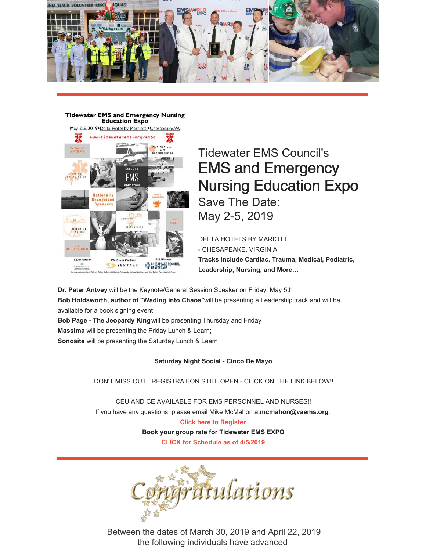

**Tidewater EMS and Emergency Nursing Education Expo** 



# Tidewater EMS Council's EMS and Emergency Nursing Education Expo Save The Date: May 2-5, 2019

DELTA HOTELS BY MARIOTT - CHESAPEAKE, VIRGINIA **Tracks Include Cardiac, Trauma, Medical, Pediatric, Leadership, Nursing, and More…**

**Dr. Peter Antvey** will be the Keynote/General Session Speaker on Friday, May 5th **Bob Holdsworth, author of "Wading into Chaos"**will be presenting a Leadership track and will be available for a book signing event

**Bob Page - The Jeopardy King**will be presenting Thursday and Friday **Massima** will be presenting the Friday Lunch & Learn; **Sonosite** will be presenting the Saturday Lunch & Learn

#### **Saturday Night Social - Cinco De Mayo**

DON'T MISS OUT...REGISTRATION STILL OPEN - CLICK ON THE LINK BELOW!!

CEU AND CE AVAILABLE FOR EMS PERSONNEL AND NURSES!! If you have any questions, please email Mike McMahon at**[mcmahon@vaems.org](mailto:mcmahon@vaems.org)**. **Click here to [Register](http://www.tidewaterems.org/education--training/training-calendar/icalrepeat.detail/2019/05/02/3238/368%7C355%7C354%7C353%7C352%7C351%7C350%7C349%7C347%7C356%7C357%7C367%7C366%7C365%7C364%7C362%7C361%7C360%7C359%7C358%7C346%7C345%7C344%7C363%7C341%7C342%7C383%7C386%7C390%7C391%7C395/early-registration-2019-tidewater-ems-nursing-expo) Book your group rate for [Tidewater](https://www.marriott.com/events/start.mi?id=1551815803696&key=GRP) EMS EXPO CLICK for [Schedule](https://files.constantcontact.com/418a56c2701/12443145-f38f-4790-ab22-59cb1e134938.pdf) as of 4/5/2019**



Between the dates of March 30, 2019 and April 22, 2019 the following individuals have advanced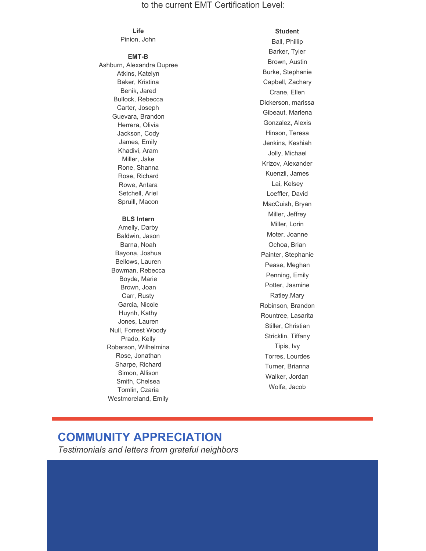#### to the current EMT Certification Level:

#### **Life**

Pinion, John

#### **EMT-B**

Ashburn, Alexandra Dupree Atkins, Katelyn Baker, Kristina Benik, Jared Bullock, Rebecca Carter, Joseph Guevara, Brandon Herrera, Olivia Jackson, Cody James, Emily Khadivi, Aram Miller, Jake Rone, Shanna Rose, Richard Rowe, Antara Setchell, Ariel Spruill, Macon **BLS Intern** Amelly, Darby Baldwin, Jason Barna, Noah Bayona, Joshua Bellows, Lauren Bowman, Rebecca Boyde, Marie Brown, Joan Carr, Rusty Garcia, Nicole Huynh, Kathy Jones, Lauren Null, Forrest Woody Prado, Kelly Roberson, Wilhelmina

#### **Student**

Ball, Phillip Barker, Tyler Brown, Austin Burke, Stephanie Capbell, Zachary Crane, Ellen Dickerson, marissa Gibeaut, Marlena Gonzalez, Alexis Hinson, Teresa Jenkins, Keshiah Jolly, Michael Krizov, Alexander Kuenzli, James Lai, Kelsey Loeffler, David MacCuish, Bryan Miller, Jeffrey Miller, Lorin Moter, Joanne Ochoa, Brian Painter, Stephanie Pease, Meghan Penning, Emily Potter, Jasmine Ratley,Mary Robinson, Brandon Rountree, Lasarita Stiller, Christian Stricklin, Tiffany Tipis, Ivy Torres, Lourdes Turner, Brianna Walker, Jordan Wolfe, Jacob

### **COMMUNITY APPRECIATION**

Rose, Jonathan Sharpe, Richard Simon, Allison Smith, Chelsea Tomlin, Czaria Westmoreland, Emily

*Testimonials and letters from grateful neighbors*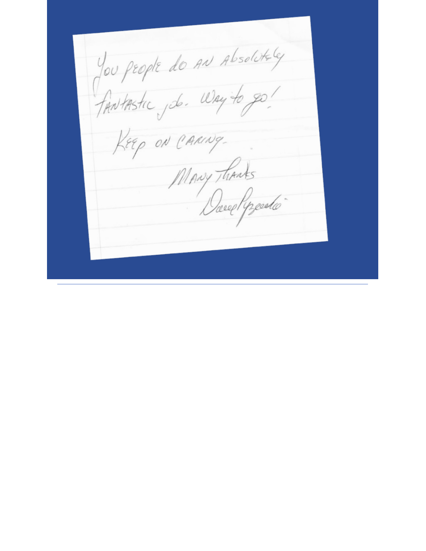You people do AN Absolutely KEEP ON CARING-Mary Thanks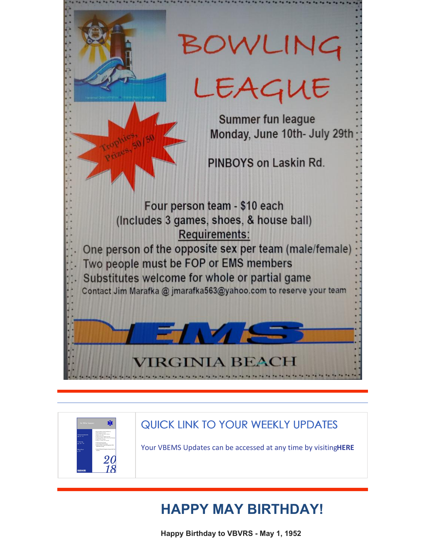



## QUICK LINK TO YOUR WEEKLY UPDATES

Your VBEMS Updates can be accessed at any time by visiting**[HERE](https://www.vbems.com/providers/newsletter/)**

# **HAPPY MAY BIRTHDAY!**

**Happy Birthday to VBVRS - May 1, 1952**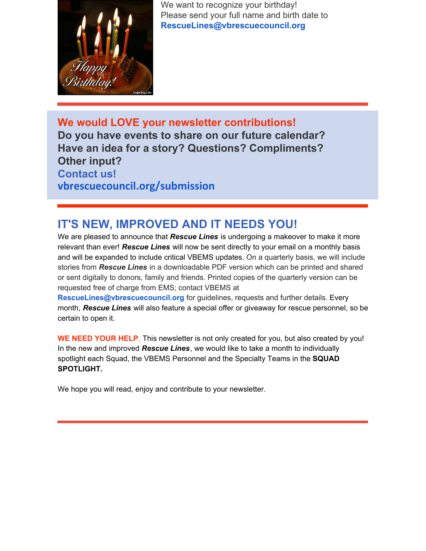

We want to recognize your birthday! Please send your full name and birth date to **[RescueLines@vbrescuecouncil.org](mailto:RescueLines@vbrescuecouncil.org)**

**We would LOVE your newsletter contributions! Do you have events to share on our future calendar? Have an idea for a story? Questions? Compliments? Other input? Contact us! [vbrescuecouncil.org/submission](http://www.vbrescuecouncil.org/submission)**

## **IT'S NEW, IMPROVED AND IT NEEDS YOU!**

We are pleased to announce that *Rescue Lines* is undergoing a makeover to make it more relevant than ever! *Rescue Lines* will now be sent directly to your email on a monthly basis and will be expanded to include critical VBEMS updates. On a quarterly basis, we will include stories from *Rescue Lines* in a downloadable PDF version which can be printed and shared or sent digitally to donors, family and friends. Printed copies of the quarterly version can be requested free of charge from EMS; contact VBEMS at

**[RescueLines@vbrescuecouncil.org](mailto:RescueLines@vbrescuecouncil.org)** for guidelines, requests and further details. Every month, *Rescue Lines* will also feature a special offer or giveaway for rescue personnel, so be certain to open it.

**WE NEED YOUR HELP**. This newsletter is not only created for you, but also created by you! In the new and improved *Rescue Lines*, we would like to take a month to individually spotlight each Squad, the VBEMS Personnel and the Specialty Teams in the **SQUAD SPOTLIGHT.**

We hope you will read, enjoy and contribute to your newsletter.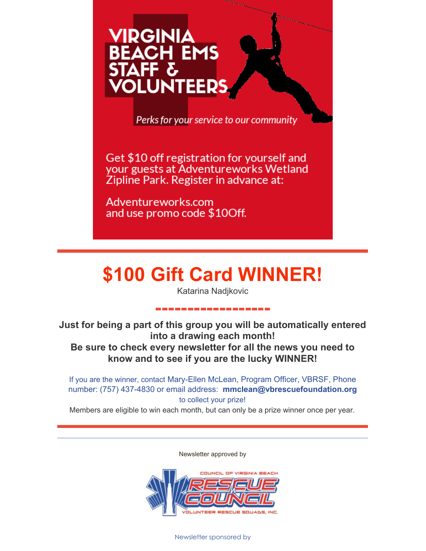# VIRGINIA **BEACH EMS UNTEERS**

Perks for your service to our community

Get \$10 off registration for yourself and your guests at Adventureworks Wetland Zipline Park. Register in advance at:

Adventureworks.com and use promo code \$10Off.

# **\$100 Gift Card WINNER!**

Katarina Nadjkovic

**------------------**

**Just for being a part of this group you will be automatically entered into a drawing each month! Be sure to check every newsletter for all the news you need to know and to see if you are the lucky WINNER!**

If you are the winner, contact Mary-Ellen McLean, Program Officer, VBRSF, Phone number: (757) 437-4830 or email address: **[mmclean@vbrescuefoundation.org](mailto:mmclean@vbrescuefoundation.org)** to collect your prize!

Members are eligible to win each month, but can only be a prize winner once per year.

Newsletter approved by



Newsletter sponsored by